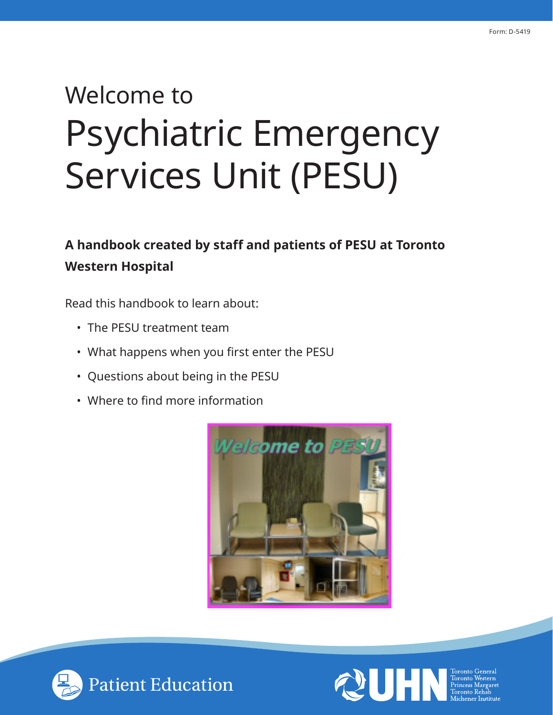## Welcome to Psychiatric Emergency Services Unit (PESU)

**A handbook created by staff and patients of PESU at Toronto Western Hospital**

Read this handbook to learn about:

- The PESU treatment team
- What happens when you first enter the PESU
- Questions about being in the PESU
- Where to find more information





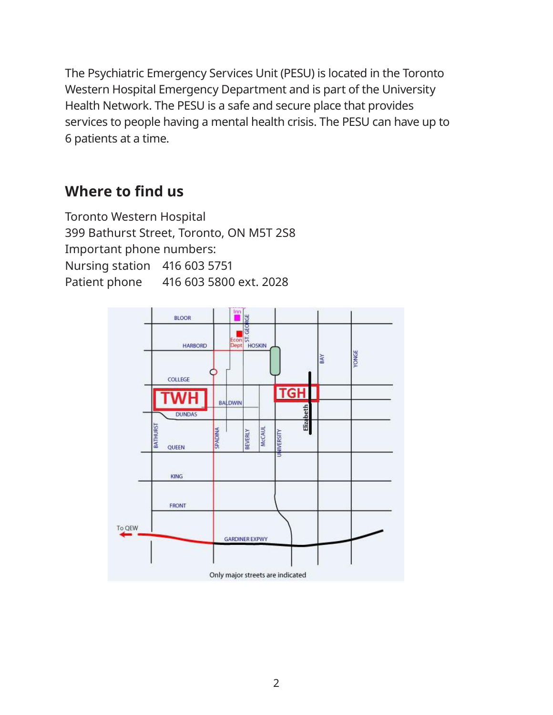The Psychiatric Emergency Services Unit (PESU) is located in the Toronto Western Hospital Emergency Department and is part of the University Health Network. The PESU is a safe and secure place that provides services to people having a mental health crisis. The PESU can have up to 6 patients at a time.

## **Where to find us**

Toronto Western Hospital 399 Bathurst Street, Toronto, ON M5T 2S8 Important phone numbers: Nursing station 416 603 5751 Patient phone 416 603 5800 ext. 2028

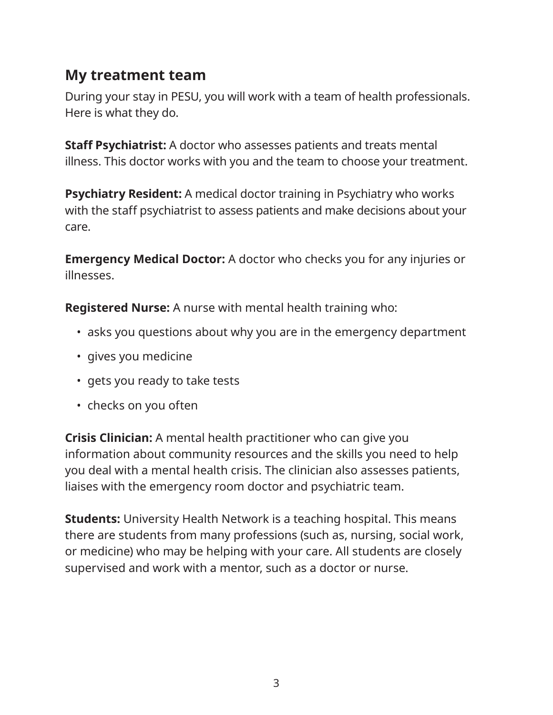### **My treatment team**

During your stay in PESU, you will work with a team of health professionals. Here is what they do.

**Staff Psychiatrist:** A doctor who assesses patients and treats mental illness. This doctor works with you and the team to choose your treatment.

**Psychiatry Resident:** A medical doctor training in Psychiatry who works with the staff psychiatrist to assess patients and make decisions about your care.

**Emergency Medical Doctor:** A doctor who checks you for any injuries or illnesses.

**Registered Nurse:** A nurse with mental health training who:

- asks you questions about why you are in the emergency department
- gives you medicine
- gets you ready to take tests
- checks on you often

**Crisis Clinician:** A mental health practitioner who can give you information about community resources and the skills you need to help you deal with a mental health crisis. The clinician also assesses patients, liaises with the emergency room doctor and psychiatric team.

**Students:** University Health Network is a teaching hospital. This means there are students from many professions (such as, nursing, social work, or medicine) who may be helping with your care. All students are closely supervised and work with a mentor, such as a doctor or nurse.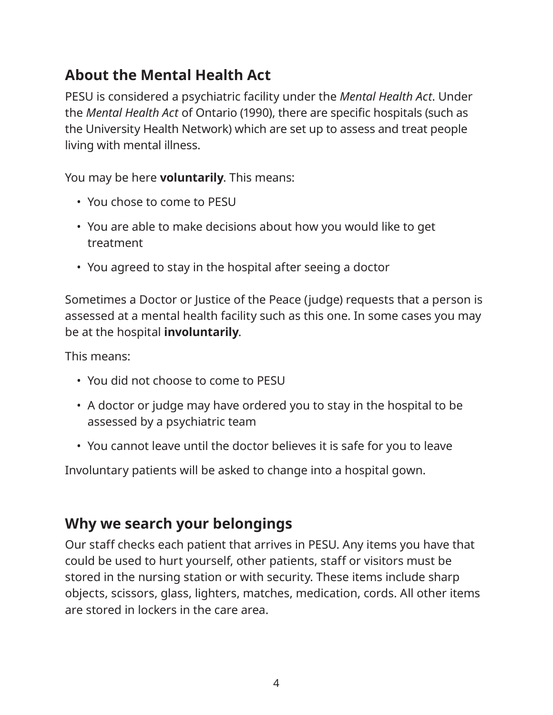## **About the Mental Health Act**

PESU is considered a psychiatric facility under the *Mental Health Act*. Under the *Mental Health Act* of Ontario (1990), there are specific hospitals (such as the University Health Network) which are set up to assess and treat people living with mental illness.

You may be here **voluntarily**. This means:

- You chose to come to PESU
- You are able to make decisions about how you would like to get treatment
- You agreed to stay in the hospital after seeing a doctor

Sometimes a Doctor or Justice of the Peace (judge) requests that a person is assessed at a mental health facility such as this one. In some cases you may be at the hospital **involuntarily**.

This means:

- You did not choose to come to PESU
- A doctor or judge may have ordered you to stay in the hospital to be assessed by a psychiatric team
- You cannot leave until the doctor believes it is safe for you to leave

Involuntary patients will be asked to change into a hospital gown.

## **Why we search your belongings**

Our staff checks each patient that arrives in PESU. Any items you have that could be used to hurt yourself, other patients, staff or visitors must be stored in the nursing station or with security. These items include sharp objects, scissors, glass, lighters, matches, medication, cords. All other items are stored in lockers in the care area.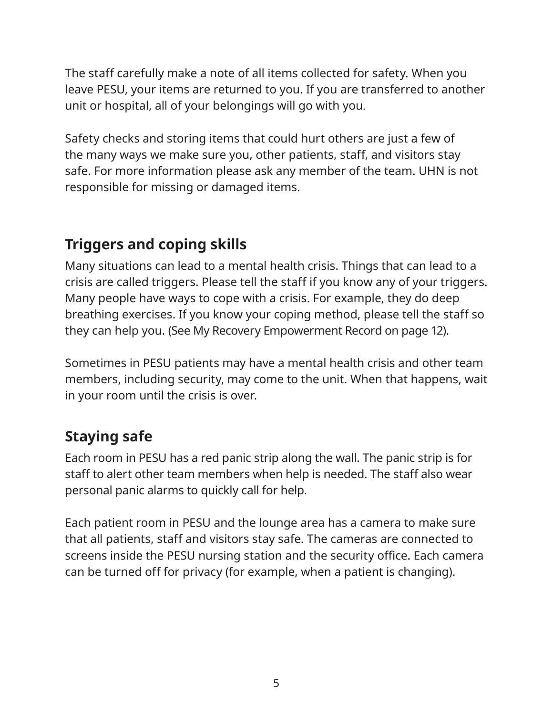The staff carefully make a note of all items collected for safety. When you leave PESU, your items are returned to you. If you are transferred to another unit or hospital, all of your belongings will go with you.

Safety checks and storing items that could hurt others are just a few of the many ways we make sure you, other patients, staff, and visitors stay safe. For more information please ask any member of the team. UHN is not responsible for missing or damaged items.

## **Triggers and coping skills**

Many situations can lead to a mental health crisis. Things that can lead to a crisis are called triggers. Please tell the staff if you know any of your triggers. Many people have ways to cope with a crisis. For example, they do deep breathing exercises. If you know your coping method, please tell the staff so they can help you. (See My Recovery Empowerment Record on page 12).

Sometimes in PESU patients may have a mental health crisis and other team members, including security, may come to the unit. When that happens, wait in your room until the crisis is over.

## **Staying safe**

Each room in PESU has a red panic strip along the wall. The panic strip is for staff to alert other team members when help is needed. The staff also wear personal panic alarms to quickly call for help.

Each patient room in PESU and the lounge area has a camera to make sure that all patients, staff and visitors stay safe. The cameras are connected to screens inside the PESU nursing station and the security office. Each camera can be turned off for privacy (for example, when a patient is changing).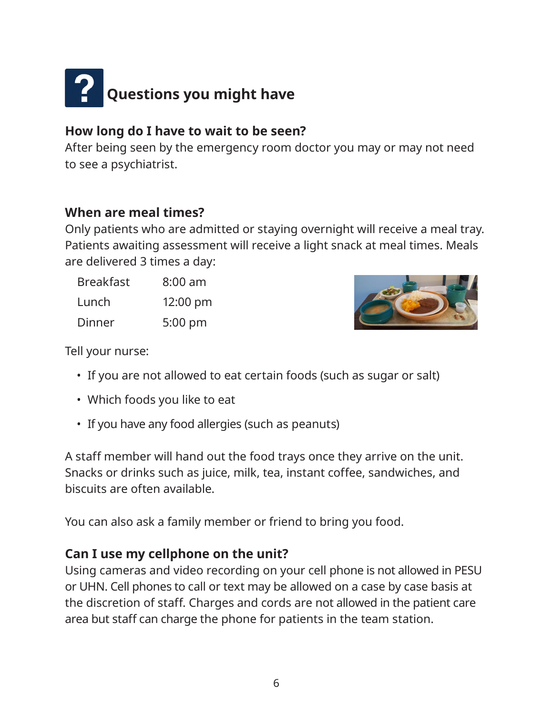# **Paul Questions you might have**

#### **How long do I have to wait to be seen?**

After being seen by the emergency room doctor you may or may not need to see a psychiatrist.

#### **When are meal times?**

Only patients who are admitted or staying overnight will receive a meal tray. Patients awaiting assessment will receive a light snack at meal times. Meals are delivered 3 times a day:

| <b>Breakfast</b> | $8:00$ am          |
|------------------|--------------------|
| Lunch            | $12:00 \text{ pm}$ |
| Dinner           | 5:00 pm            |



Tell your nurse:

- If you are not allowed to eat certain foods (such as sugar or salt)
- Which foods you like to eat
- If you have any food allergies (such as peanuts)

A staff member will hand out the food trays once they arrive on the unit. Snacks or drinks such as juice, milk, tea, instant coffee, sandwiches, and biscuits are often available.

You can also ask a family member or friend to bring you food.

#### **Can I use my cellphone on the unit?**

Using cameras and video recording on your cell phone is not allowed in PESU or UHN. Cell phones to call or text may be allowed on a case by case basis at the discretion of staff. Charges and cords are not allowed in the patient care area but staff can charge the phone for patients in the team station.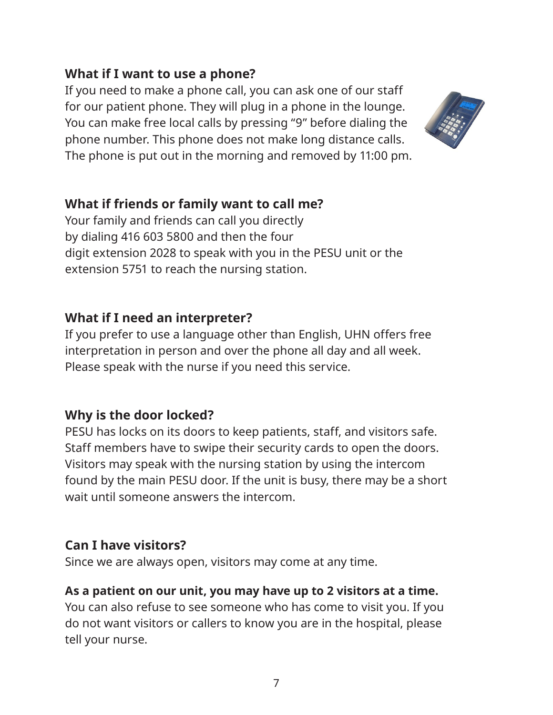#### **What if I want to use a phone?**

If you need to make a phone call, you can ask one of our staff for our patient phone. They will plug in a phone in the lounge. You can make free local calls by pressing "9" before dialing the phone number. This phone does not make long distance calls. The phone is put out in the morning and removed by 11:00 pm.



#### **What if friends or family want to call me?**

Your family and friends can call you directly by dialing 416 603 5800 and then the four digit extension 2028 to speak with you in the PESU unit or the extension 5751 to reach the nursing station.

#### **What if I need an interpreter?**

If you prefer to use a language other than English, UHN offers free interpretation in person and over the phone all day and all week. Please speak with the nurse if you need this service.

#### **Why is the door locked?**

PESU has locks on its doors to keep patients, staff, and visitors safe. Staff members have to swipe their security cards to open the doors. Visitors may speak with the nursing station by using the intercom found by the main PESU door. If the unit is busy, there may be a short wait until someone answers the intercom.

#### **Can I have visitors?**

Since we are always open, visitors may come at any time.

#### **As a patient on our unit, you may have up to 2 visitors at a time.**

You can also refuse to see someone who has come to visit you. If you do not want visitors or callers to know you are in the hospital, please tell your nurse.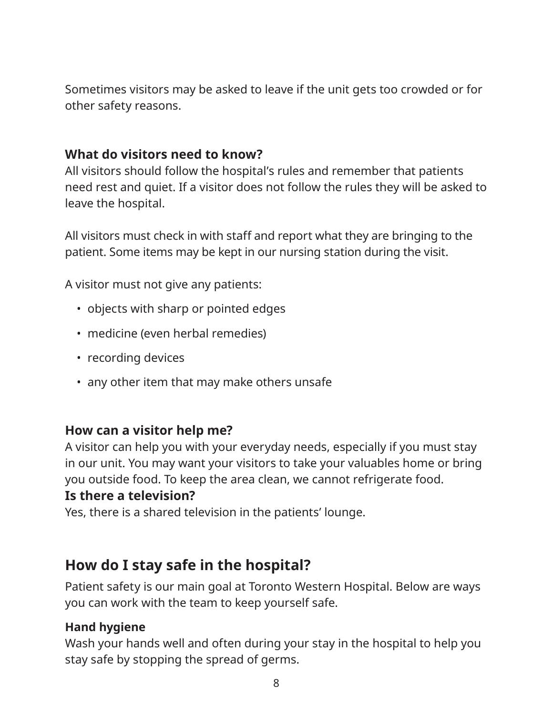Sometimes visitors may be asked to leave if the unit gets too crowded or for other safety reasons.

#### **What do visitors need to know?**

All visitors should follow the hospital's rules and remember that patients need rest and quiet. If a visitor does not follow the rules they will be asked to leave the hospital.

All visitors must check in with staff and report what they are bringing to the patient. Some items may be kept in our nursing station during the visit.

A visitor must not give any patients:

- objects with sharp or pointed edges
- medicine (even herbal remedies)
- recording devices
- any other item that may make others unsafe

#### **How can a visitor help me?**

A visitor can help you with your everyday needs, especially if you must stay in our unit. You may want your visitors to take your valuables home or bring you outside food. To keep the area clean, we cannot refrigerate food.

#### **Is there a television?**

Yes, there is a shared television in the patients' lounge.

### **How do I stay safe in the hospital?**

Patient safety is our main goal at Toronto Western Hospital. Below are ways you can work with the team to keep yourself safe.

#### **Hand hygiene**

Wash your hands well and often during your stay in the hospital to help you stay safe by stopping the spread of germs.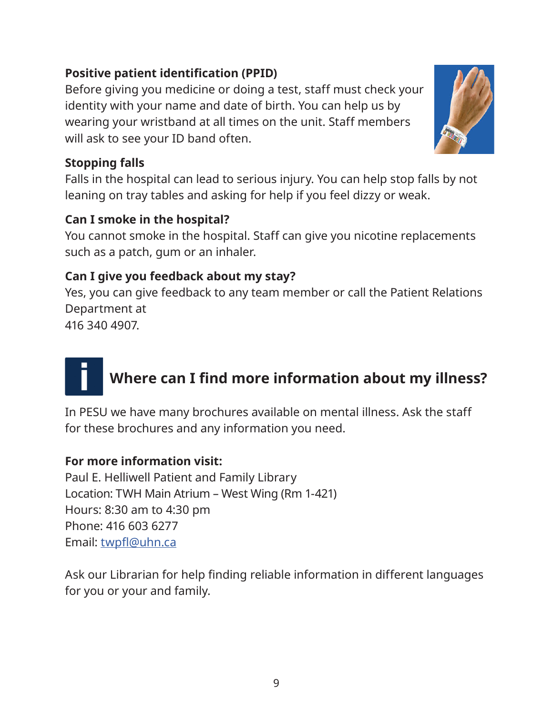#### **Positive patient identification (PPID)**

Before giving you medicine or doing a test, staff must check your identity with your name and date of birth. You can help us by wearing your wristband at all times on the unit. Staff members will ask to see your ID band often.

#### **Stopping falls**

Falls in the hospital can lead to serious injury. You can help stop falls by not leaning on tray tables and asking for help if you feel dizzy or weak.

#### **Can I smoke in the hospital?**

You cannot smoke in the hospital. Staff can give you nicotine replacements such as a patch, gum or an inhaler.

#### **Can I give you feedback about my stay?**

Yes, you can give feedback to any team member or call the Patient Relations Department at

416 340 4907.

## **Where can I find more information about my illness?**

In PESU we have many brochures available on mental illness. Ask the staff for these brochures and any information you need.

#### **For more information visit:**

Paul E. Helliwell Patient and Family Library Location: TWH Main Atrium – West Wing (Rm 1-421) Hours: 8:30 am to 4:30 pm Phone: 416 603 6277 Email: [twpfl@uhn.ca](mailto:?subject=)

Ask our Librarian for help finding reliable information in different languages for you or your and family.

9